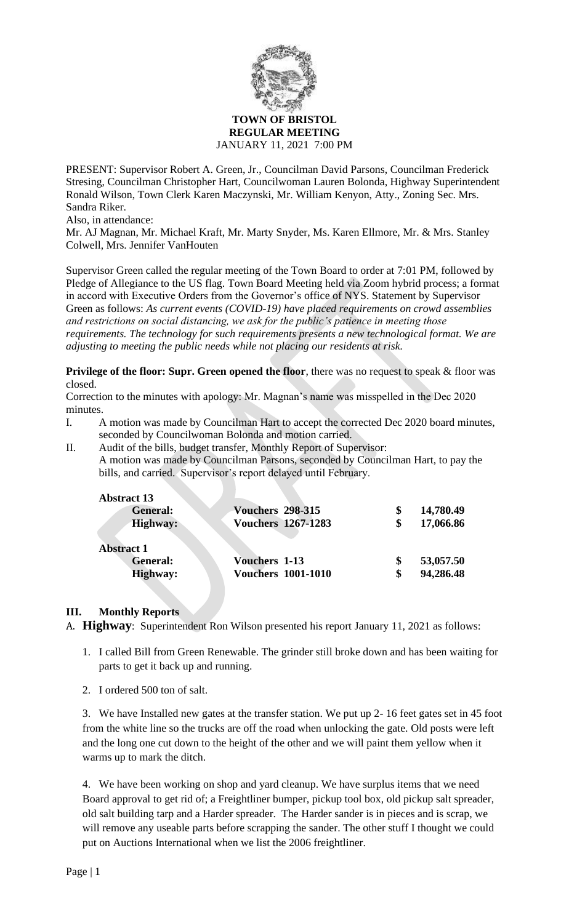

#### **TOWN OF BRISTOL REGULAR MEETING** JANUARY 11, 2021 7:00 PM

PRESENT: Supervisor Robert A. Green, Jr., Councilman David Parsons, Councilman Frederick Stresing, Councilman Christopher Hart, Councilwoman Lauren Bolonda, Highway Superintendent Ronald Wilson, Town Clerk Karen Maczynski, Mr. William Kenyon, Atty., Zoning Sec. Mrs. Sandra Riker.

Also, in attendance:

Mr. AJ Magnan, Mr. Michael Kraft, Mr. Marty Snyder, Ms. Karen Ellmore, Mr. & Mrs. Stanley Colwell, Mrs. Jennifer VanHouten

Supervisor Green called the regular meeting of the Town Board to order at 7:01 PM, followed by Pledge of Allegiance to the US flag. Town Board Meeting held via Zoom hybrid process; a format in accord with Executive Orders from the Governor's office of NYS. Statement by Supervisor Green as follows: *As current events (COVID-19) have placed requirements on crowd assemblies and restrictions on social distancing, we ask for the public's patience in meeting those requirements. The technology for such requirements presents a new technological format. We are adjusting to meeting the public needs while not placing our residents at risk.*

**Privilege of the floor: Supr. Green opened the floor**, there was no request to speak & floor was closed.

Correction to the minutes with apology: Mr. Magnan's name was misspelled in the Dec 2020 minutes.

- I. A motion was made by Councilman Hart to accept the corrected Dec 2020 board minutes, seconded by Councilwoman Bolonda and motion carried.
- II. Audit of the bills, budget transfer, Monthly Report of Supervisor: A motion was made by Councilman Parsons, seconded by Councilman Hart, to pay the bills, and carried. Supervisor's report delayed until February.

| <b>Abstract 13</b> |                           |           |
|--------------------|---------------------------|-----------|
| <b>General:</b>    | <b>Vouchers 298-315</b>   | 14,780.49 |
| <b>Highway:</b>    | <b>Vouchers 1267-1283</b> | 17,066.86 |
|                    |                           |           |
| <b>Abstract 1</b>  |                           |           |
| <b>General:</b>    | <b>Vouchers 1-13</b>      | 53,057.50 |
| <b>Highway:</b>    | <b>Vouchers 1001-1010</b> | 94,286.48 |
|                    |                           |           |

# **III. Monthly Reports**

A. **Highway**: Superintendent Ron Wilson presented his report January 11, 2021 as follows:

- 1. I called Bill from Green Renewable. The grinder still broke down and has been waiting for parts to get it back up and running.
- 2. I ordered 500 ton of salt.

3. We have Installed new gates at the transfer station. We put up 2- 16 feet gates set in 45 foot from the white line so the trucks are off the road when unlocking the gate. Old posts were left and the long one cut down to the height of the other and we will paint them yellow when it warms up to mark the ditch.

4. We have been working on shop and yard cleanup. We have surplus items that we need Board approval to get rid of; a Freightliner bumper, pickup tool box, old pickup salt spreader, old salt building tarp and a Harder spreader. The Harder sander is in pieces and is scrap, we will remove any useable parts before scrapping the sander. The other stuff I thought we could put on Auctions International when we list the 2006 freightliner.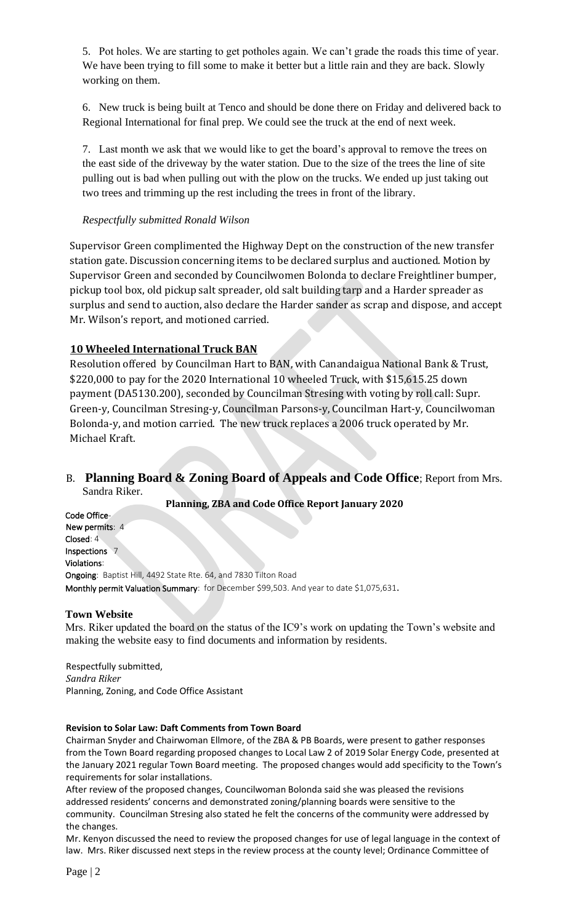5. Pot holes. We are starting to get potholes again. We can't grade the roads this time of year. We have been trying to fill some to make it better but a little rain and they are back. Slowly working on them.

6. New truck is being built at Tenco and should be done there on Friday and delivered back to Regional International for final prep. We could see the truck at the end of next week.

7. Last month we ask that we would like to get the board's approval to remove the trees on the east side of the driveway by the water station. Due to the size of the trees the line of site pulling out is bad when pulling out with the plow on the trucks. We ended up just taking out two trees and trimming up the rest including the trees in front of the library.

## *Respectfully submitted Ronald Wilson*

Supervisor Green complimented the Highway Dept on the construction of the new transfer station gate. Discussion concerning items to be declared surplus and auctioned. Motion by Supervisor Green and seconded by Councilwomen Bolonda to declare Freightliner bumper, pickup tool box, old pickup salt spreader, old salt building tarp and a Harder spreader as surplus and send to auction, also declare the Harder sander as scrap and dispose, and accept Mr. Wilson's report, and motioned carried.

# **10 Wheeled International Truck BAN**

Resolution offered by Councilman Hart to BAN, with Canandaigua National Bank & Trust, \$220,000 to pay for the 2020 International 10 wheeled Truck, with \$15,615.25 down payment (DA5130.200), seconded by Councilman Stresing with voting by roll call: Supr. Green-y, Councilman Stresing-y, Councilman Parsons-y, Councilman Hart-y, Councilwoman Bolonda-y, and motion carried. The new truck replaces a 2006 truck operated by Mr. Michael Kraft.

# B. **Planning Board & Zoning Board of Appeals and Code Office**; Report from Mrs. Sandra Riker.

**Planning, ZBA and Code Office Report January 2020**

Code Office-New permits: 4 Closed: 4 Inspections 7 Violations: Ongoing: Baptist Hill, 4492 State Rte. 64, and 7830 Tilton Road Monthly permit Valuation Summary: for December \$99,503. And year to date \$1,075,631.

#### **Town Website**

Mrs. Riker updated the board on the status of the IC9's work on updating the Town's website and making the website easy to find documents and information by residents.

Respectfully submitted, *Sandra Riker* Planning, Zoning, and Code Office Assistant

#### **Revision to Solar Law: Daft Comments from Town Board**

Chairman Snyder and Chairwoman Ellmore, of the ZBA & PB Boards, were present to gather responses from the Town Board regarding proposed changes to Local Law 2 of 2019 Solar Energy Code, presented at the January 2021 regular Town Board meeting. The proposed changes would add specificity to the Town's requirements for solar installations.

After review of the proposed changes, Councilwoman Bolonda said she was pleased the revisions addressed residents' concerns and demonstrated zoning/planning boards were sensitive to the community. Councilman Stresing also stated he felt the concerns of the community were addressed by the changes.

Mr. Kenyon discussed the need to review the proposed changes for use of legal language in the context of law. Mrs. Riker discussed next steps in the review process at the county level; Ordinance Committee of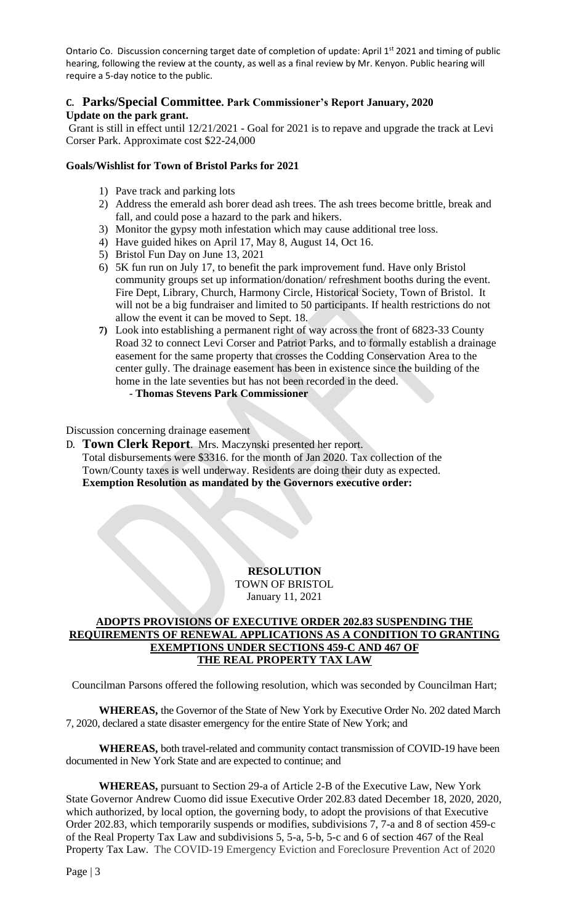Ontario Co. Discussion concerning target date of completion of update: April 1<sup>st</sup> 2021 and timing of public hearing, following the review at the county, as well as a final review by Mr. Kenyon. Public hearing will require a 5-day notice to the public.

## **C. Parks/Special Committee. Park Commissioner's Report January, 2020 Update on the park grant.**

Grant is still in effect until 12/21/2021 - Goal for 2021 is to repave and upgrade the track at Levi Corser Park. Approximate cost \$22-24,000

### **Goals/Wishlist for Town of Bristol Parks for 2021**

- 1) Pave track and parking lots
- 2) Address the emerald ash borer dead ash trees. The ash trees become brittle, break and fall, and could pose a hazard to the park and hikers.
- 3) Monitor the gypsy moth infestation which may cause additional tree loss.
- 4) Have guided hikes on April 17, May 8, August 14, Oct 16.
- 5) Bristol Fun Day on June 13, 2021
- 6) 5K fun run on July 17, to benefit the park improvement fund. Have only Bristol community groups set up information/donation/ refreshment booths during the event. Fire Dept, Library, Church, Harmony Circle, Historical Society, Town of Bristol. It will not be a big fundraiser and limited to 50 participants. If health restrictions do not allow the event it can be moved to Sept. 18.
- **7)** Look into establishing a permanent right of way across the front of 6823-33 County Road 32 to connect Levi Corser and Patriot Parks, and to formally establish a drainage easement for the same property that crosses the Codding Conservation Area to the center gully. The drainage easement has been in existence since the building of the home in the late seventies but has not been recorded in the deed.
	- **Thomas Stevens Park Commissioner**

Discussion concerning drainage easement

D. **Town Clerk Report**. Mrs. Maczynski presented her report. Total disbursements were \$3316. for the month of Jan 2020. Tax collection of the Town/County taxes is well underway. Residents are doing their duty as expected. **Exemption Resolution as mandated by the Governors executive order:**

# **RESOLUTION**

TOWN OF BRISTOL January 11, 2021

## **ADOPTS PROVISIONS OF EXECUTIVE ORDER 202.83 SUSPENDING THE REQUIREMENTS OF RENEWAL APPLICATIONS AS A CONDITION TO GRANTING EXEMPTIONS UNDER SECTIONS 459-C AND 467 OF THE REAL PROPERTY TAX LAW**

Councilman Parsons offered the following resolution, which was seconded by Councilman Hart;

**WHEREAS,** the Governor of the State of New York by Executive Order No. 202 dated March 7, 2020, declared a state disaster emergency for the entire State of New York; and

**WHEREAS,** both travel-related and community contact transmission of COVID-19 have been documented in New York State and are expected to continue; and

**WHEREAS,** pursuant to Section 29-a of Article 2-B of the Executive Law, New York State Governor Andrew Cuomo did issue Executive Order 202.83 dated December 18, 2020, 2020, which authorized, by local option, the governing body, to adopt the provisions of that Executive Order 202.83, which temporarily suspends or modifies, subdivisions 7, 7-a and 8 of section 459-c of the Real Property Tax Law and subdivisions 5, 5-a, 5-b, 5-c and 6 of section 467 of the Real Property Tax Law. The COVID-19 Emergency Eviction and Foreclosure Prevention Act of 2020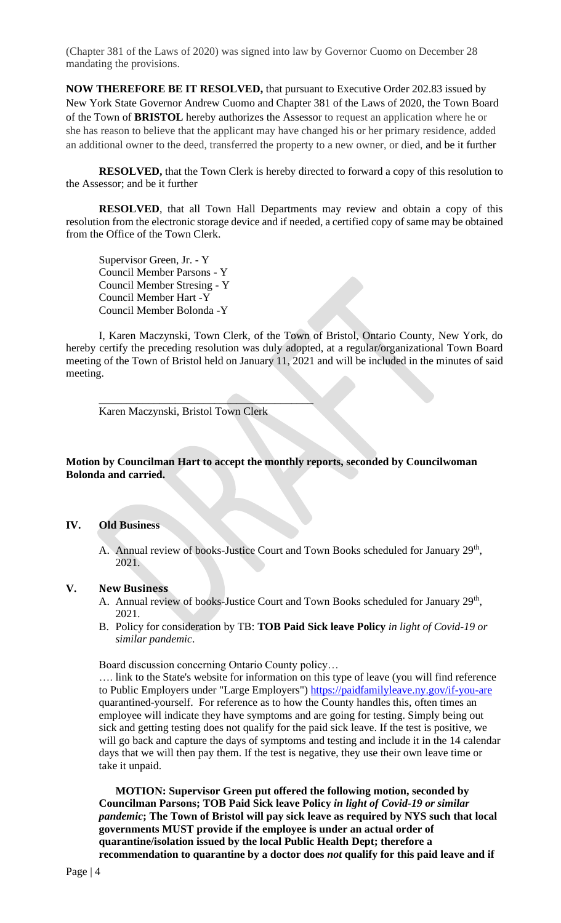(Chapter 381 of the Laws of 2020) was signed into law by Governor Cuomo on December 28 mandating the provisions.

**NOW THEREFORE BE IT RESOLVED,** that pursuant to Executive Order 202.83 issued by New York State Governor Andrew Cuomo and Chapter 381 of the Laws of 2020, the Town Board of the Town of **BRISTOL** hereby authorizes the Assessor to request an application where he or she has reason to believe that the applicant may have changed his or her primary residence, added an additional owner to the deed, transferred the property to a new owner, or died, and be it further

**RESOLVED,** that the Town Clerk is hereby directed to forward a copy of this resolution to the Assessor; and be it further

**RESOLVED**, that all Town Hall Departments may review and obtain a copy of this resolution from the electronic storage device and if needed, a certified copy of same may be obtained from the Office of the Town Clerk.

Supervisor Green, Jr. - Y Council Member Parsons - Y Council Member Stresing - Y Council Member Hart -Y Council Member Bolonda -Y

I, Karen Maczynski, Town Clerk, of the Town of Bristol, Ontario County, New York, do hereby certify the preceding resolution was duly adopted, at a regular/organizational Town Board meeting of the Town of Bristol held on January 11, 2021 and will be included in the minutes of said meeting.

Karen Maczynski, Bristol Town Clerk

 $\mathcal{L}=\mathcal{L}^{\mathcal{L}}$ 

**Motion by Councilman Hart to accept the monthly reports, seconded by Councilwoman Bolonda and carried.**

### **IV. Old Business**

A. Annual review of books-Justice Court and Town Books scheduled for January 29<sup>th</sup>, 2021.

### **V. New Business**

- A. Annual review of books-Justice Court and Town Books scheduled for January 29<sup>th</sup>, 2021.
- B. Policy for consideration by TB: **TOB Paid Sick leave Policy** *in light of Covid-19 or similar pandemic*.

Board discussion concerning Ontario County policy…

…. link to the State's website for information on this type of leave (you will find reference to Public Employers under "Large Employers")<https://paidfamilyleave.ny.gov/if-you-are> quarantined-yourself. For reference as to how the County handles this, often times an employee will indicate they have symptoms and are going for testing. Simply being out sick and getting testing does not qualify for the paid sick leave. If the test is positive, we will go back and capture the days of symptoms and testing and include it in the 14 calendar days that we will then pay them. If the test is negative, they use their own leave time or take it unpaid.

**MOTION: Supervisor Green put offered the following motion, seconded by Councilman Parsons; TOB Paid Sick leave Policy** *in light of Covid-19 or similar pandemic***; The Town of Bristol will pay sick leave as required by NYS such that local governments MUST provide if the employee is under an actual order of quarantine/isolation issued by the local Public Health Dept; therefore a recommendation to quarantine by a doctor does** *not* **qualify for this paid leave and if**